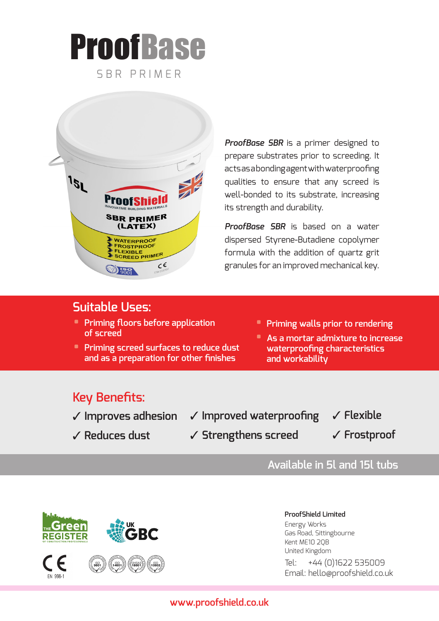# ProofBase SBR PRIMER



*ProofBase SBR* is a primer designed to prepare substrates prior to screeding. It acts as a bonding agent with waterproofing qualities to ensure that any screed is well-bonded to its substrate, increasing its strength and durability.

*ProofBase SBR* is based on a water dispersed Styrene-Butadiene copolymer formula with the addition of quartz grit granules for an improved mechanical key.

### **Suitable Uses:**

- **Priming floors before application of screed**
- **Priming screed surfaces to reduce dust and as a preparation for other finishes**
- **Priming walls prior to rendering**
- **As a mortar admixture to increase waterproofing characteristics and workability**

## **Key Benefits:**

- ✓ **Improves adhesion**
- ✓ **Improved waterproofing**
- ✓ **Flexible**

- ✓ **Reduces dust**
- ✓ **Strengthens screed**
- ✓ **Frostproof**

## **Available in 5l and 15l tubs**



**ProofShield Limited** Energy Works Gas Road, Sittingbourne Kent ME10 2QB United Kingdom Tel: +44 (0)1622 535009 Email: hello@proofshield.co.uk